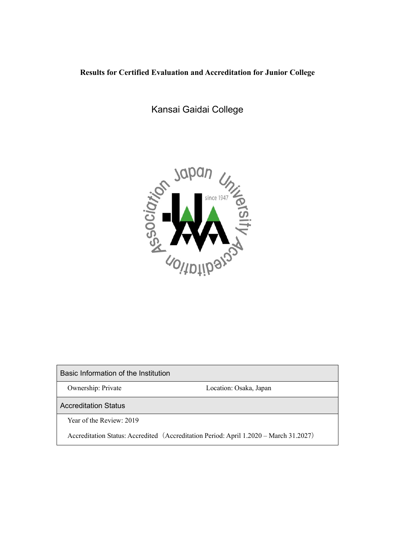## **Results for Certified Evaluation and Accreditation for Junior College**

Kansai Gaidai College



Basic Information of the Institution

Ownership: Private Location: Osaka, Japan

Accreditation Status

Year of the Review: 2019

Accreditation Status: Accredited(Accreditation Period: April 1.2020 – March 31.2027)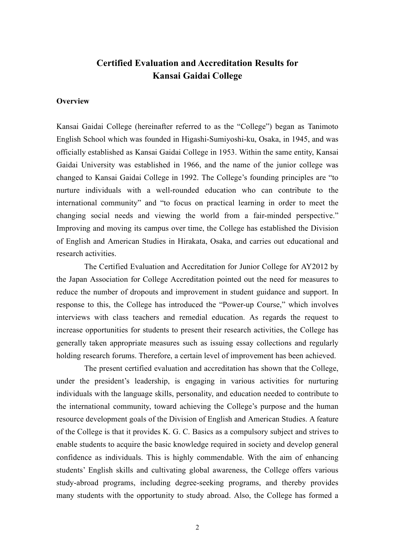# **Certified Evaluation and Accreditation Results for Kansai Gaidai College**

#### **Overview**

Kansai Gaidai College (hereinafter referred to as the "College") began as Tanimoto English School which was founded in Higashi-Sumiyoshi-ku, Osaka, in 1945, and was officially established as Kansai Gaidai College in 1953. Within the same entity, Kansai Gaidai University was established in 1966, and the name of the junior college was changed to Kansai Gaidai College in 1992. The College's founding principles are "to nurture individuals with a well-rounded education who can contribute to the international community" and "to focus on practical learning in order to meet the changing social needs and viewing the world from a fair-minded perspective." Improving and moving its campus over time, the College has established the Division of English and American Studies in Hirakata, Osaka, and carries out educational and research activities.

The Certified Evaluation and Accreditation for Junior College for AY2012 by the Japan Association for College Accreditation pointed out the need for measures to reduce the number of dropouts and improvement in student guidance and support. In response to this, the College has introduced the "Power-up Course," which involves interviews with class teachers and remedial education. As regards the request to increase opportunities for students to present their research activities, the College has generally taken appropriate measures such as issuing essay collections and regularly holding research forums. Therefore, a certain level of improvement has been achieved.

The present certified evaluation and accreditation has shown that the College, under the president's leadership, is engaging in various activities for nurturing individuals with the language skills, personality, and education needed to contribute to the international community, toward achieving the College's purpose and the human resource development goals of the Division of English and American Studies. A feature of the College is that it provides K. G. C. Basics as a compulsory subject and strives to enable students to acquire the basic knowledge required in society and develop general confidence as individuals. This is highly commendable. With the aim of enhancing students' English skills and cultivating global awareness, the College offers various study-abroad programs, including degree-seeking programs, and thereby provides many students with the opportunity to study abroad. Also, the College has formed a